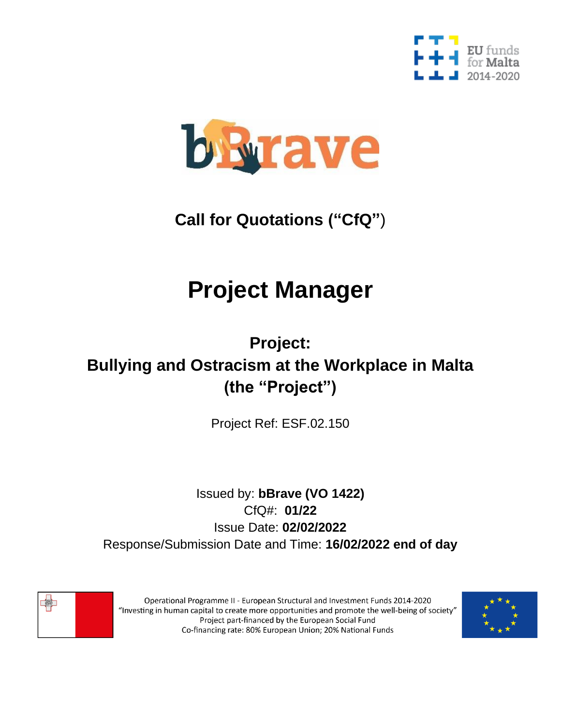



## **Call for Quotations ("CfQ"**)

# **Project Manager**

## **Project: Bullying and Ostracism at the Workplace in Malta (the "Project")**

Project Ref: ESF.02.150

### Issued by: **bBrave (VO 1422)** CfQ#: **01/22** Issue Date: **02/02/2022** Response/Submission Date and Time: **16/02/2022 end of day**



Operational Programme II - European Structural and Investment Funds 2014-2020 "Investing in human capital to create more opportunities and promote the well-being of society" Project part-financed by the European Social Fund Co-financing rate: 80% European Union; 20% National Funds

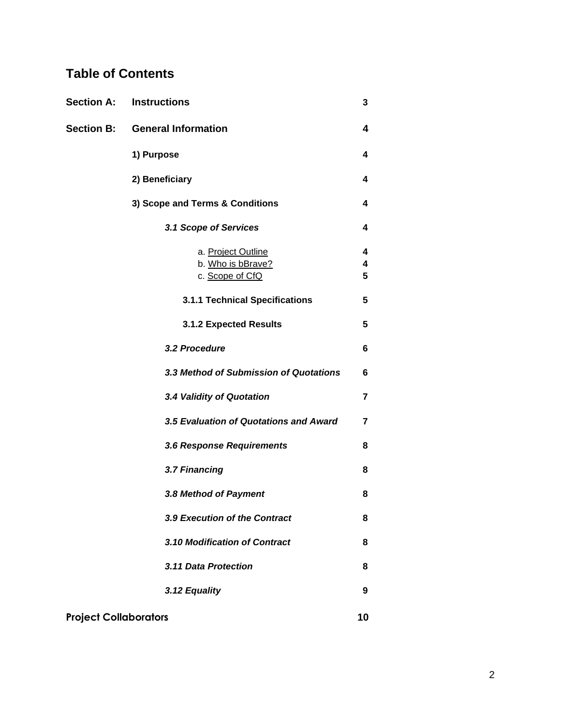### **Table of Contents**

| <b>Section A:</b>            | <b>Instructions</b>                                        | 3              |
|------------------------------|------------------------------------------------------------|----------------|
| <b>Section B:</b>            | <b>General Information</b>                                 | 4              |
|                              | 1) Purpose                                                 | 4              |
|                              | 2) Beneficiary                                             | 4              |
|                              | 3) Scope and Terms & Conditions                            | 4              |
|                              | 3.1 Scope of Services                                      | 4              |
|                              | a. Project Outline<br>b. Who is bBrave?<br>c. Scope of CfQ | 4<br>4<br>5    |
|                              | 3.1.1 Technical Specifications                             | 5              |
|                              | <b>3.1.2 Expected Results</b>                              | 5              |
|                              | 3.2 Procedure                                              | 6              |
|                              | 3.3 Method of Submission of Quotations                     | 6              |
|                              | 3.4 Validity of Quotation                                  | 7              |
|                              | 3.5 Evaluation of Quotations and Award                     | $\overline{7}$ |
|                              | 3.6 Response Requirements                                  | 8              |
|                              | 3.7 Financing                                              | 8              |
|                              | 3.8 Method of Payment                                      | 8              |
|                              | 3.9 Execution of the Contract                              | 8              |
|                              | 3.10 Modification of Contract                              | 8              |
|                              | 3.11 Data Protection                                       | 8              |
|                              | 3.12 Equality                                              | 9              |
| <b>Project Collaborators</b> |                                                            | 10             |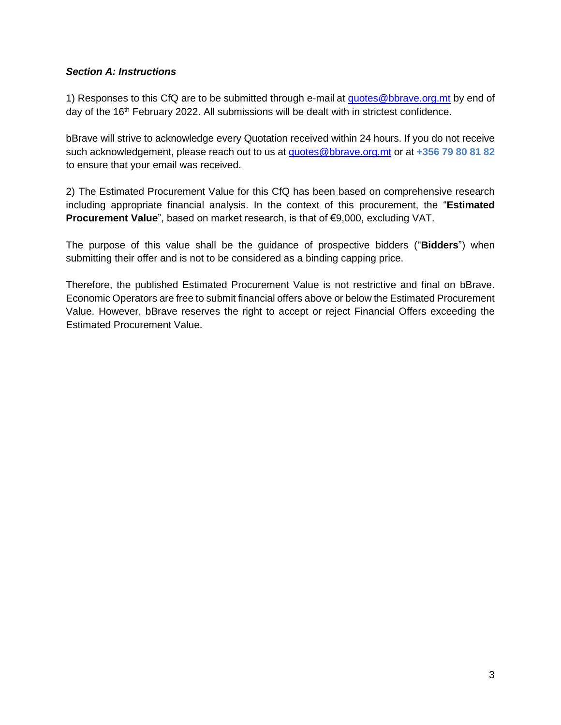#### *Section A: Instructions*

1) Responses to this CfQ are to be submitted through e-mail at [quotes@bbrave.org.mt](mailto:quotes@bbrave.org.mt) by end of day of the 16<sup>th</sup> February 2022. All submissions will be dealt with in strictest confidence.

bBrave will strive to acknowledge every Quotation received within 24 hours. If you do not receive such acknowledgement, please reach out to us at [quotes@bbrave.org.mt](mailto:quotes@bbrave.org.mt) or at **+356 79 80 81 82** to ensure that your email was received.

2) The Estimated Procurement Value for this CfQ has been based on comprehensive research including appropriate financial analysis. In the context of this procurement, the "**Estimated Procurement Value**", based on market research, is that of €9,000, excluding VAT.

The purpose of this value shall be the guidance of prospective bidders ("**Bidders**") when submitting their offer and is not to be considered as a binding capping price.

Therefore, the published Estimated Procurement Value is not restrictive and final on bBrave. Economic Operators are free to submit financial offers above or below the Estimated Procurement Value. However, bBrave reserves the right to accept or reject Financial Offers exceeding the Estimated Procurement Value.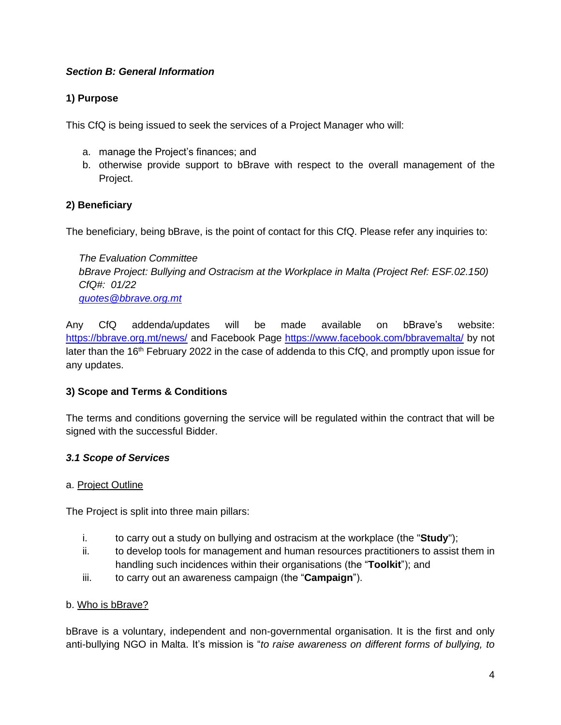#### *Section B: General Information*

#### **1) Purpose**

This CfQ is being issued to seek the services of a Project Manager who will:

- a. manage the Project's finances; and
- b. otherwise provide support to bBrave with respect to the overall management of the Project.

#### **2) Beneficiary**

The beneficiary, being bBrave, is the point of contact for this CfQ. Please refer any inquiries to:

*The Evaluation Committee bBrave Project: Bullying and Ostracism at the Workplace in Malta (Project Ref: ESF.02.150) CfQ#: 01/22 [quotes@bbrave.org.mt](mailto:quotes@bbrave.org.mt)*

Any CfQ addenda/updates will be made available on bBrave's website: <https://bbrave.org.mt/news/> and Facebook Page<https://www.facebook.com/bbravemalta/> by not later than the 16<sup>th</sup> February 2022 in the case of addenda to this CfQ, and promptly upon issue for any updates.

#### **3) Scope and Terms & Conditions**

The terms and conditions governing the service will be regulated within the contract that will be signed with the successful Bidder.

#### *3.1 Scope of Services*

#### a. Project Outline

The Project is split into three main pillars:

- i. to carry out a study on bullying and ostracism at the workplace (the "**Study**");
- ii. to develop tools for management and human resources practitioners to assist them in handling such incidences within their organisations (the "**Toolkit**"); and
- iii. to carry out an awareness campaign (the "**Campaign**").

#### b. Who is bBrave?

bBrave is a voluntary, independent and non-governmental organisation. It is the first and only anti-bullying NGO in Malta. It's mission is "*to raise awareness on different forms of bullying, to*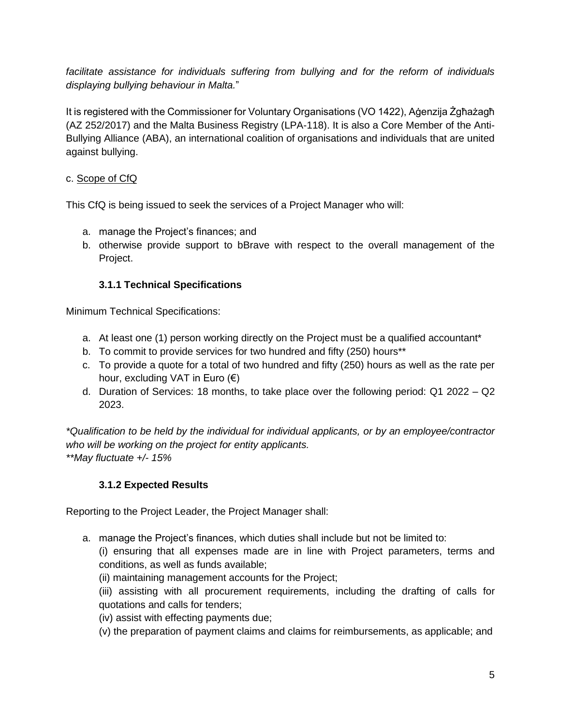*facilitate assistance for individuals suffering from bullying and for the reform of individuals displaying bullying behaviour in Malta.*"

It is registered with the Commissioner for Voluntary Organisations (VO 1422), Aġenzija Żgħażagħ (AZ 252/2017) and the Malta Business Registry (LPA-118). It is also a Core Member of the Anti-Bullying Alliance (ABA), an international coalition of organisations and individuals that are united against bullying.

#### c. Scope of CfQ

This CfQ is being issued to seek the services of a Project Manager who will:

- a. manage the Project's finances; and
- b. otherwise provide support to bBrave with respect to the overall management of the Project.

#### **3.1.1 Technical Specifications**

Minimum Technical Specifications:

- a. At least one (1) person working directly on the Project must be a qualified accountant\*
- b. To commit to provide services for two hundred and fifty (250) hours\*\*
- c. To provide a quote for a total of two hundred and fifty (250) hours as well as the rate per hour, excluding VAT in Euro (€)
- d. Duration of Services: 18 months, to take place over the following period: Q1 2022 Q2 2023.

*\*Qualification to be held by the individual for individual applicants, or by an employee/contractor who will be working on the project for entity applicants. \*\*May fluctuate +/- 15%*

#### **3.1.2 Expected Results**

Reporting to the Project Leader, the Project Manager shall:

a. manage the Project's finances, which duties shall include but not be limited to:

(i) ensuring that all expenses made are in line with Project parameters, terms and conditions, as well as funds available;

(ii) maintaining management accounts for the Project;

(iii) assisting with all procurement requirements, including the drafting of calls for quotations and calls for tenders;

(iv) assist with effecting payments due;

(v) the preparation of payment claims and claims for reimbursements, as applicable; and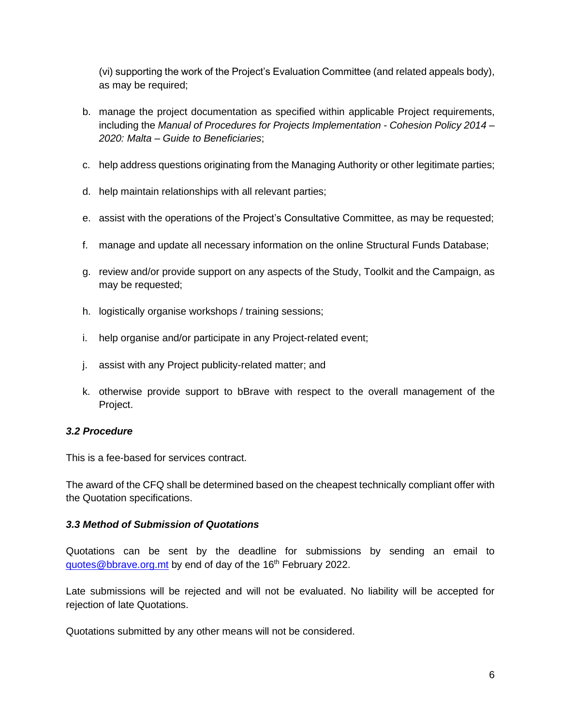(vi) supporting the work of the Project's Evaluation Committee (and related appeals body), as may be required;

- b. manage the project documentation as specified within applicable Project requirements, including the *Manual of Procedures for Projects Implementation - Cohesion Policy 2014 – 2020: Malta – Guide to Beneficiaries*;
- c. help address questions originating from the Managing Authority or other legitimate parties;
- d. help maintain relationships with all relevant parties;
- e. assist with the operations of the Project's Consultative Committee, as may be requested;
- f. manage and update all necessary information on the online Structural Funds Database;
- g. review and/or provide support on any aspects of the Study, Toolkit and the Campaign, as may be requested;
- h. logistically organise workshops / training sessions;
- i. help organise and/or participate in any Project-related event;
- j. assist with any Project publicity-related matter; and
- k. otherwise provide support to bBrave with respect to the overall management of the Project.

#### *3.2 Procedure*

This is a fee-based for services contract.

The award of the CFQ shall be determined based on the cheapest technically compliant offer with the Quotation specifications.

#### *3.3 Method of Submission of Quotations*

Quotations can be sent by the deadline for submissions by sending an email to [quotes@bbrave.org.mt](mailto:quotes@bbrave.org.mt) by end of day of the 16<sup>th</sup> February 2022.

Late submissions will be rejected and will not be evaluated. No liability will be accepted for rejection of late Quotations.

Quotations submitted by any other means will not be considered.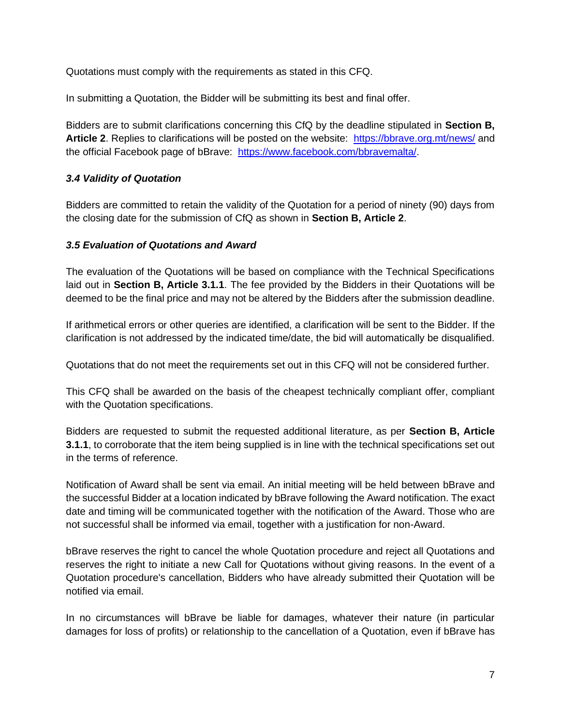Quotations must comply with the requirements as stated in this CFQ.

In submitting a Quotation, the Bidder will be submitting its best and final offer.

Bidders are to submit clarifications concerning this CfQ by the deadline stipulated in **Section B, Article 2**. Replies to clarifications will be posted on the website: <https://bbrave.org.mt/news/> and the official Facebook page of bBrave: [https://www.facebook.com/bbravemalta/.](https://www.facebook.com/bbravemalta/)

#### *3.4 Validity of Quotation*

Bidders are committed to retain the validity of the Quotation for a period of ninety (90) days from the closing date for the submission of CfQ as shown in **Section B, Article 2**.

#### *3.5 Evaluation of Quotations and Award*

The evaluation of the Quotations will be based on compliance with the Technical Specifications laid out in **Section B, Article 3.1.1**. The fee provided by the Bidders in their Quotations will be deemed to be the final price and may not be altered by the Bidders after the submission deadline.

If arithmetical errors or other queries are identified, a clarification will be sent to the Bidder. If the clarification is not addressed by the indicated time/date, the bid will automatically be disqualified.

Quotations that do not meet the requirements set out in this CFQ will not be considered further.

This CFQ shall be awarded on the basis of the cheapest technically compliant offer, compliant with the Quotation specifications.

Bidders are requested to submit the requested additional literature, as per **Section B, Article 3.1.1**, to corroborate that the item being supplied is in line with the technical specifications set out in the terms of reference.

Notification of Award shall be sent via email. An initial meeting will be held between bBrave and the successful Bidder at a location indicated by bBrave following the Award notification. The exact date and timing will be communicated together with the notification of the Award. Those who are not successful shall be informed via email, together with a justification for non-Award.

bBrave reserves the right to cancel the whole Quotation procedure and reject all Quotations and reserves the right to initiate a new Call for Quotations without giving reasons. In the event of a Quotation procedure's cancellation, Bidders who have already submitted their Quotation will be notified via email.

In no circumstances will bBrave be liable for damages, whatever their nature (in particular damages for loss of profits) or relationship to the cancellation of a Quotation, even if bBrave has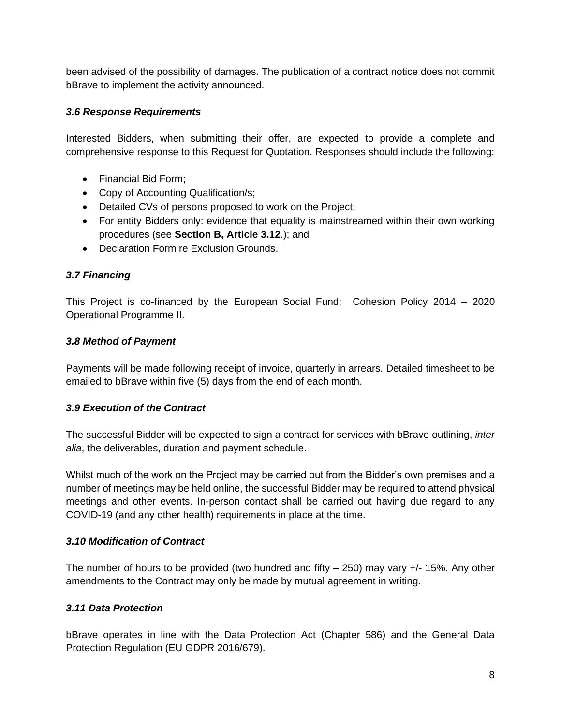been advised of the possibility of damages. The publication of a contract notice does not commit bBrave to implement the activity announced.

#### *3.6 Response Requirements*

Interested Bidders, when submitting their offer, are expected to provide a complete and comprehensive response to this Request for Quotation. Responses should include the following:

- Financial Bid Form;
- Copy of Accounting Qualification/s;
- Detailed CVs of persons proposed to work on the Project;
- For entity Bidders only: evidence that equality is mainstreamed within their own working procedures (see **Section B, Article 3.12**.); and
- Declaration Form re Exclusion Grounds.

#### *3.7 Financing*

This Project is co-financed by the European Social Fund: Cohesion Policy 2014 – 2020 Operational Programme II.

#### *3.8 Method of Payment*

Payments will be made following receipt of invoice, quarterly in arrears. Detailed timesheet to be emailed to bBrave within five (5) days from the end of each month.

#### *3.9 Execution of the Contract*

The successful Bidder will be expected to sign a contract for services with bBrave outlining, *inter alia*, the deliverables, duration and payment schedule.

Whilst much of the work on the Project may be carried out from the Bidder's own premises and a number of meetings may be held online, the successful Bidder may be required to attend physical meetings and other events. In-person contact shall be carried out having due regard to any COVID-19 (and any other health) requirements in place at the time.

#### *3.10 Modification of Contract*

The number of hours to be provided (two hundred and fifty  $-$  250) may vary  $+/-$  15%. Any other amendments to the Contract may only be made by mutual agreement in writing.

#### *3.11 Data Protection*

bBrave operates in line with the Data Protection Act (Chapter 586) and the General Data Protection Regulation (EU GDPR 2016/679).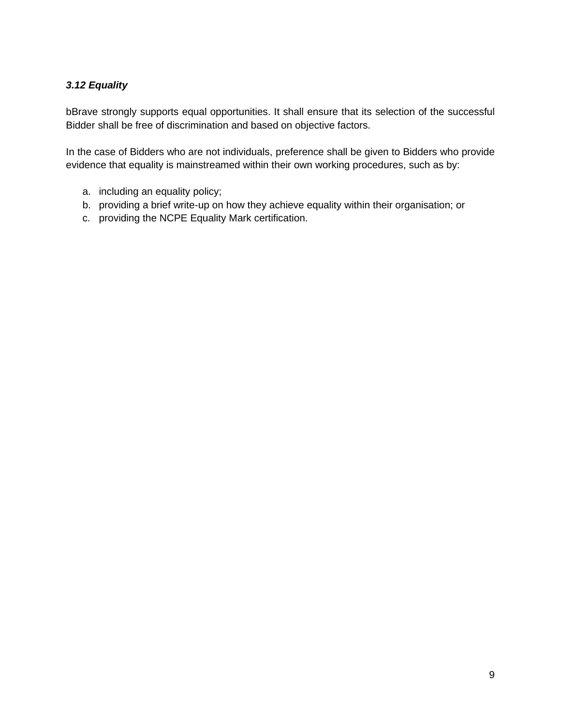#### *3.12 Equality*

bBrave strongly supports equal opportunities. It shall ensure that its selection of the successful Bidder shall be free of discrimination and based on objective factors.

In the case of Bidders who are not individuals, preference shall be given to Bidders who provide evidence that equality is mainstreamed within their own working procedures, such as by:

- a. including an equality policy;
- b. providing a brief write-up on how they achieve equality within their organisation; or
- c. providing the NCPE Equality Mark certification.